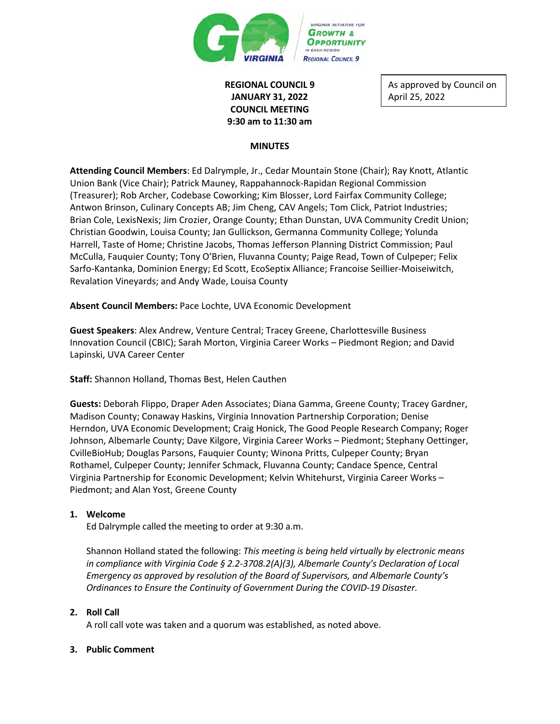

# **REGIONAL COUNCIL 9 JANUARY 31, 2022 COUNCIL MEETING 9:30 am to 11:30 am**

As approved by Council on April 25, 2022

#### **MINUTES**

**Attending Council Members**: Ed Dalrymple, Jr., Cedar Mountain Stone (Chair); Ray Knott, Atlantic Union Bank (Vice Chair); Patrick Mauney, Rappahannock-Rapidan Regional Commission (Treasurer); Rob Archer, Codebase Coworking; Kim Blosser, Lord Fairfax Community College; Antwon Brinson, Culinary Concepts AB; Jim Cheng, CAV Angels; Tom Click, Patriot Industries; Brian Cole, LexisNexis; Jim Crozier, Orange County; Ethan Dunstan, UVA Community Credit Union; Christian Goodwin, Louisa County; Jan Gullickson, Germanna Community College; Yolunda Harrell, Taste of Home; Christine Jacobs, Thomas Jefferson Planning District Commission; Paul McCulla, Fauquier County; Tony O'Brien, Fluvanna County; Paige Read, Town of Culpeper; Felix Sarfo-Kantanka, Dominion Energy; Ed Scott, EcoSeptix Alliance; Francoise Seillier-Moiseiwitch, Revalation Vineyards; and Andy Wade, Louisa County

**Absent Council Members:** Pace Lochte, UVA Economic Development

**Guest Speakers**: Alex Andrew, Venture Central; Tracey Greene, Charlottesville Business Innovation Council (CBIC); Sarah Morton, Virginia Career Works – Piedmont Region; and David Lapinski, UVA Career Center

**Staff:** Shannon Holland, Thomas Best, Helen Cauthen

**Guests:** Deborah Flippo, Draper Aden Associates; Diana Gamma, Greene County; Tracey Gardner, Madison County; Conaway Haskins, Virginia Innovation Partnership Corporation; Denise Herndon, UVA Economic Development; Craig Honick, The Good People Research Company; Roger Johnson, Albemarle County; Dave Kilgore, Virginia Career Works – Piedmont; Stephany Oettinger, CvilleBioHub; Douglas Parsons, Fauquier County; Winona Pritts, Culpeper County; Bryan Rothamel, Culpeper County; Jennifer Schmack, Fluvanna County; Candace Spence, Central Virginia Partnership for Economic Development; Kelvin Whitehurst, Virginia Career Works – Piedmont; and Alan Yost, Greene County

#### **1. Welcome**

Ed Dalrymple called the meeting to order at 9:30 a.m.

Shannon Holland stated the following: *This meeting is being held virtually by electronic means in compliance with Virginia Code § 2.2-3708.2(A)(3), Albemarle County's Declaration of Local Emergency as approved by resolution of the Board of Supervisors, and Albemarle County's Ordinances to Ensure the Continuity of Government During the COVID-19 Disaster.*

## **2. Roll Call**

A roll call vote was taken and a quorum was established, as noted above.

## **3. Public Comment**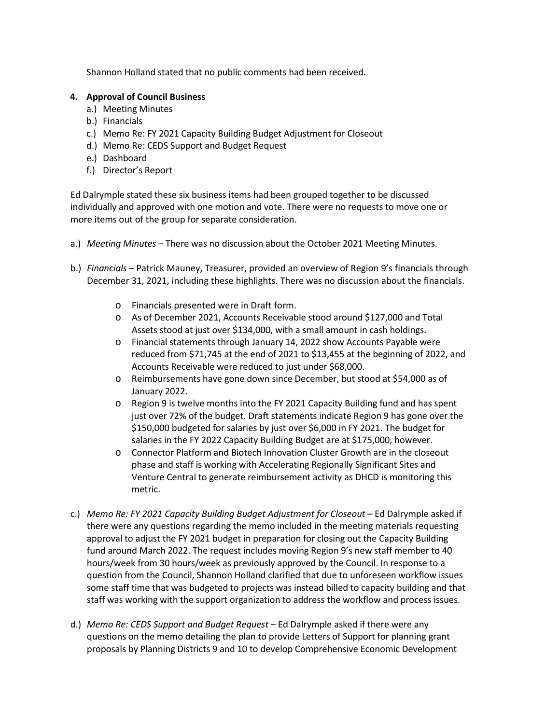Shannon Holland stated that no public comments had been received.

## **4. Approval of Council Business**

- a.) Meeting Minutes
- b.) Financials
- c.) Memo Re: FY 2021 Capacity Building Budget Adjustment for Closeout
- d.) Memo Re: CEDS Support and Budget Request
- e.) Dashboard
- f.) Director's Report

Ed Dalrymple stated these six business items had been grouped together to be discussed individually and approved with one motion and vote. There were no requests to move one or more items out of the group for separate consideration.

- a.) *Meeting Minutes* There was no discussion about the October 2021 Meeting Minutes.
- b.) *Financials* Patrick Mauney, Treasurer, provided an overview of Region 9's financials through December 31, 2021, including these highlights. There was no discussion about the financials.
	- o Financials presented were in Draft form.
	- o As of December 2021, Accounts Receivable stood around \$127,000 and Total Assets stood at just over \$134,000, with a small amount in cash holdings.
	- o Financial statements through January 14, 2022 show Accounts Payable were reduced from \$71,745 at the end of 2021 to \$13,455 at the beginning of 2022, and Accounts Receivable were reduced to just under \$68,000.
	- o Reimbursements have gone down since December, but stood at \$54,000 as of January 2022.
	- o Region 9 is twelve months into the FY 2021 Capacity Building fund and has spent just over 72% of the budget. Draft statements indicate Region 9 has gone over the \$150,000 budgeted for salaries by just over \$6,000 in FY 2021. The budget for salaries in the FY 2022 Capacity Building Budget are at \$175,000, however.
	- o Connector Platform and Biotech Innovation Cluster Growth are in the closeout phase and staff is working with Accelerating Regionally Significant Sites and Venture Central to generate reimbursement activity as DHCD is monitoring this metric.
- c.) *Memo Re: FY 2021 Capacity Building Budget Adjustment for Closeout* Ed Dalrymple asked if there were any questions regarding the memo included in the meeting materials requesting approval to adjust the FY 2021 budget in preparation for closing out the Capacity Building fund around March 2022. The request includes moving Region 9's new staff member to 40 hours/week from 30 hours/week as previously approved by the Council. In response to a question from the Council, Shannon Holland clarified that due to unforeseen workflow issues some staff time that was budgeted to projects was instead billed to capacity building and that staff was working with the support organization to address the workflow and process issues.
- d.) *Memo Re: CEDS Support and Budget Request* Ed Dalrymple asked if there were any questions on the memo detailing the plan to provide Letters of Support for planning grant proposals by Planning Districts 9 and 10 to develop Comprehensive Economic Development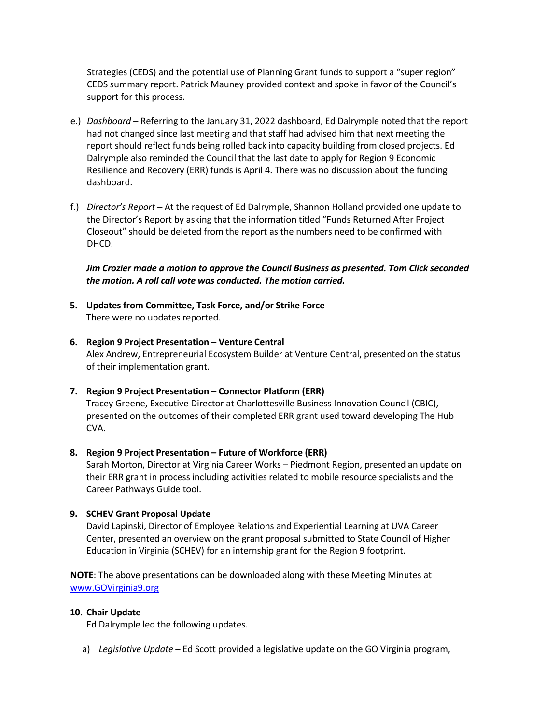Strategies (CEDS) and the potential use of Planning Grant funds to support a "super region" CEDS summary report. Patrick Mauney provided context and spoke in favor of the Council's support for this process.

- e.) *Dashboard* Referring to the January 31, 2022 dashboard, Ed Dalrymple noted that the report had not changed since last meeting and that staff had advised him that next meeting the report should reflect funds being rolled back into capacity building from closed projects. Ed Dalrymple also reminded the Council that the last date to apply for Region 9 Economic Resilience and Recovery (ERR) funds is April 4. There was no discussion about the funding dashboard.
- f.) *Director's Report* At the request of Ed Dalrymple, Shannon Holland provided one update to the Director's Report by asking that the information titled "Funds Returned After Project Closeout" should be deleted from the report as the numbers need to be confirmed with DHCD.

*Jim Crozier made a motion to approve the Council Business as presented. Tom Click seconded the motion. A roll call vote was conducted. The motion carried.* 

- **5. Updates from Committee, Task Force, and/or Strike Force** There were no updates reported.
- **6. Region 9 Project Presentation Venture Central**  Alex Andrew, Entrepreneurial Ecosystem Builder at Venture Central, presented on the status of their implementation grant.
- **7. Region 9 Project Presentation Connector Platform (ERR)** Tracey Greene, Executive Director at Charlottesville Business Innovation Council (CBIC), presented on the outcomes of their completed ERR grant used toward developing The Hub CVA.

#### **8. Region 9 Project Presentation – Future of Workforce (ERR)**

Sarah Morton, Director at Virginia Career Works – Piedmont Region, presented an update on their ERR grant in process including activities related to mobile resource specialists and the Career Pathways Guide tool.

#### **9. SCHEV Grant Proposal Update**

David Lapinski, Director of Employee Relations and Experiential Learning at UVA Career Center, presented an overview on the grant proposal submitted to State Council of Higher Education in Virginia (SCHEV) for an internship grant for the Region 9 footprint.

**NOTE**: The above presentations can be downloaded along with these Meeting Minutes at [www.GOVirginia9.org](http://www.govirginia9.org/) 

#### **10. Chair Update**

Ed Dalrymple led the following updates.

a) *Legislative Update* – Ed Scott provided a legislative update on the GO Virginia program,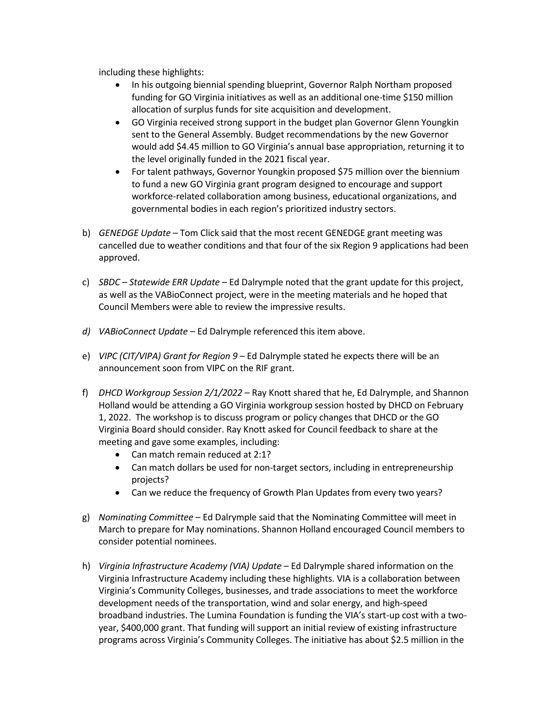including these highlights:

- In his outgoing biennial spending blueprint, Governor Ralph Northam proposed funding for GO Virginia initiatives as well as an additional one-time \$150 million allocation of surplus funds for site acquisition and development.
- GO Virginia received strong support in the budget plan Governor Glenn Youngkin sent to the General Assembly. Budget recommendations by the new Governor would add \$4.45 million to GO Virginia's annual base appropriation, returning it to the level originally funded in the 2021 fiscal year.
- For talent pathways, Governor Youngkin proposed \$75 million over the biennium to fund a new GO Virginia grant program designed to encourage and support workforce-related collaboration among business, educational organizations, and governmental bodies in each region's prioritized industry sectors.
- b) *GENEDGE Update* Tom Click said that the most recent GENEDGE grant meeting was cancelled due to weather conditions and that four of the six Region 9 applications had been approved.
- c) *SBDC Statewide ERR Update* Ed Dalrymple noted that the grant update for this project, as well as the VABioConnect project, were in the meeting materials and he hoped that Council Members were able to review the impressive results.
- *d) VABioConnect Update* Ed Dalrymple referenced this item above.
- e) *VIPC (CIT/VIPA) Grant for Region 9* Ed Dalrymple stated he expects there will be an announcement soon from VIPC on the RIF grant.
- f) *DHCD Workgroup Session 2/1/2022* Ray Knott shared that he, Ed Dalrymple, and Shannon Holland would be attending a GO Virginia workgroup session hosted by DHCD on February 1, 2022. The workshop is to discuss program or policy changes that DHCD or the GO Virginia Board should consider. Ray Knott asked for Council feedback to share at the meeting and gave some examples, including:
	- Can match remain reduced at 2:1?
	- Can match dollars be used for non-target sectors, including in entrepreneurship projects?
	- Can we reduce the frequency of Growth Plan Updates from every two years?
- g) *Nominating Committee* Ed Dalrymple said that the Nominating Committee will meet in March to prepare for May nominations. Shannon Holland encouraged Council members to consider potential nominees.
- h) *Virginia Infrastructure Academy (VIA) Update* Ed Dalrymple shared information on the Virginia Infrastructure Academy including these highlights. VIA is a collaboration between Virginia's Community Colleges, businesses, and trade associations to meet the workforce development needs of the transportation, wind and solar energy, and high-speed broadband industries. The Lumina Foundation is funding the VIA's start-up cost with a twoyear, \$400,000 grant. That funding will support an initial review of existing infrastructure programs across Virginia's Community Colleges. The initiative has about \$2.5 million in the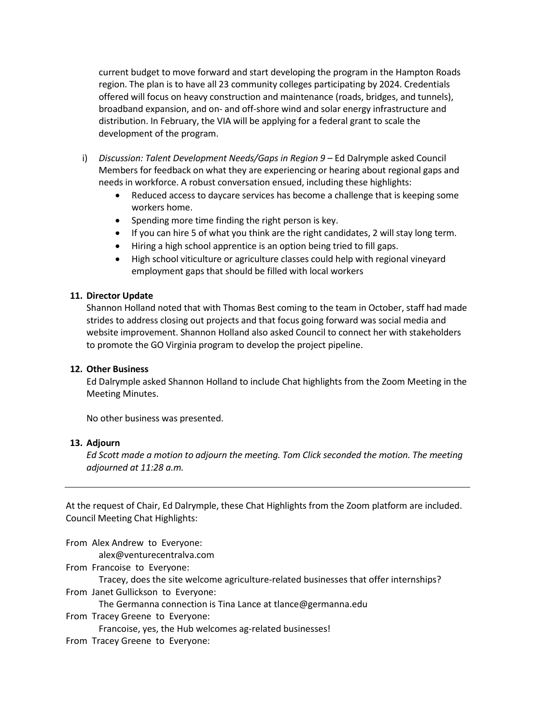current budget to move forward and start developing the program in the Hampton Roads region. The plan is to have all 23 community colleges participating by 2024. Credentials offered will focus on heavy construction and maintenance (roads, bridges, and tunnels), broadband expansion, and on- and off-shore wind and solar energy infrastructure and distribution. In February, the VIA will be applying for a federal grant to scale the development of the program.

- i) *Discussion: Talent Development Needs/Gaps in Region 9* Ed Dalrymple asked Council Members for feedback on what they are experiencing or hearing about regional gaps and needs in workforce. A robust conversation ensued, including these highlights:
	- Reduced access to daycare services has become a challenge that is keeping some workers home.
	- Spending more time finding the right person is key.
	- If you can hire 5 of what you think are the right candidates, 2 will stay long term.
	- Hiring a high school apprentice is an option being tried to fill gaps.
	- High school viticulture or agriculture classes could help with regional vineyard employment gaps that should be filled with local workers

## **11. Director Update**

Shannon Holland noted that with Thomas Best coming to the team in October, staff had made strides to address closing out projects and that focus going forward was social media and website improvement. Shannon Holland also asked Council to connect her with stakeholders to promote the GO Virginia program to develop the project pipeline.

## **12. Other Business**

Ed Dalrymple asked Shannon Holland to include Chat highlights from the Zoom Meeting in the Meeting Minutes.

No other business was presented.

#### **13. Adjourn**

*Ed Scott made a motion to adjourn the meeting. Tom Click seconded the motion. The meeting adjourned at 11:28 a.m.*

At the request of Chair, Ed Dalrymple, these Chat Highlights from the Zoom platform are included. Council Meeting Chat Highlights:

From Alex Andrew to Everyone:

alex@venturecentralva.com

From Francoise to Everyone:

Tracey, does the site welcome agriculture-related businesses that offer internships? From Janet Gullickson to Everyone:

The Germanna connection is Tina Lance at tlance@germanna.edu

From Tracey Greene to Everyone:

Francoise, yes, the Hub welcomes ag-related businesses!

From Tracey Greene to Everyone: